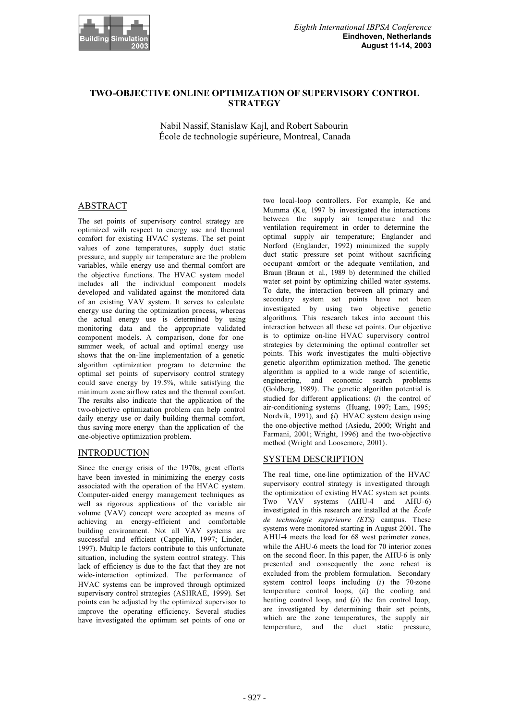

# **TWO-OBJECTIVE ONLINE OPTIMIZATION OF SUPERVISORY CONTROL STRATEGY**

Nabil Nassif, Stanislaw Kajl, and Robert Sabourin École de technologie supérieure, Montreal, Canada

# ABSTRACT

The set points of supervisory control strategy are optimized with respect to energy use and thermal comfort for existing HVAC systems. The set point values of zone temperatures, supply duct static pressure, and supply air temperature are the problem variables, while energy use and thermal comfort are the objective functions. The HVAC system model includes all the individual component models developed and validated against the monitored data of an existing VAV system. It serves to calculate energy use during the optimization process, whereas the actual energy use is determined by using monitoring data and the appropriate validated component models. A comparison, done for one summer week, of actual and optimal energy use shows that the on-line implementation of a genetic algorithm optimization program to determine the optimal set points of supervisory control strategy could save energy by 19.5%, while satisfying the minimum zone airflow rates and the thermal comfort. The results also indicate that the application of the two-objective optimization problem can help control daily energy use or daily building thermal comfort, thus saving more energy than the application of the one-objective optimization problem.

# INTRODUCTION

Since the energy crisis of the 1970s, great efforts have been invested in minimizing the energy costs associated with the operation of the HVAC system. Computer-aided energy management techniques as well as rigorous applications of the variable air volume (VAV) concept were accepted as means of achieving an energy-efficient and comfortable building environment. Not all VAV systems are successful and efficient (Cappellin, 1997; Linder, 1997). Multip le factors contribute to this unfortunate situation, including the system control strategy. This lack of efficiency is due to the fact that they are not wide-interaction optimized. The performance of HVAC systems can be improved through optimized supervisory control strategies (ASHRAE, 1999). Set points can be adjusted by the optimized supervisor to improve the operating efficiency. Several studies have investigated the optimum set points of one or

two local-loop controllers. For example, Ke and Mumma (K e, 1997 b) investigated the interactions between the supply air temperature and the ventilation requirement in order to determine the optimal supply air temperature; Englander and Norford (Englander, 1992) minimized the supply duct static pressure set point without sacrificing occupant comfort or the adequate ventilation, and Braun (Braun et al., 1989 b) determined the chilled water set point by optimizing chilled water systems. To date, the interaction between all primary and secondary system set points have not been investigated by using two objective genetic algorithms. This research takes into account this interaction between all these set points. Our objective is to optimize on-line HVAC supervisory control strategies by determining the optimal controller set points. This work investigates the multi-objective genetic algorithm optimization method. The genetic algorithm is applied to a wide range of scientific, engineering, and economic search problems (Goldberg, 1989). The genetic algorithm potential is studied for different applications: (*i*) the control of air-conditioning systems (Huang, 1997; Lam, 1995; Nordvik, 1991), and  $(i)$  HVAC system design using the one-objective method (Asiedu, 2000; Wright and Farmani, 2001; Wright, 1996) and the two-objective method (Wright and Loosemore, 2001).

# SYSTEM DESCRIPTION

The real time, one-line optimization of the HVAC supervisory control strategy is investigated through the optimization of existing HVAC system set points. Two VAV systems (AHU-4 and AHU-6) investigated in this research are installed at the *École de technologie supérieure (ETS)* campus. These systems were monitored starting in August 2001. The AHU-4 meets the load for 68 west perimeter zones, while the AHU-6 meets the load for 70 interior zones on the second floor. In this paper, the AHU-6 is only presented and consequently the zone reheat is excluded from the problem formulation. Secondary system control loops including (*i*) the 70-zone temperature control loops, (*ii*) the cooling and heating control loop, and *(ii)* the fan control loop, are investigated by determining their set points, which are the zone temperatures, the supply air temperature, and the duct static pressure,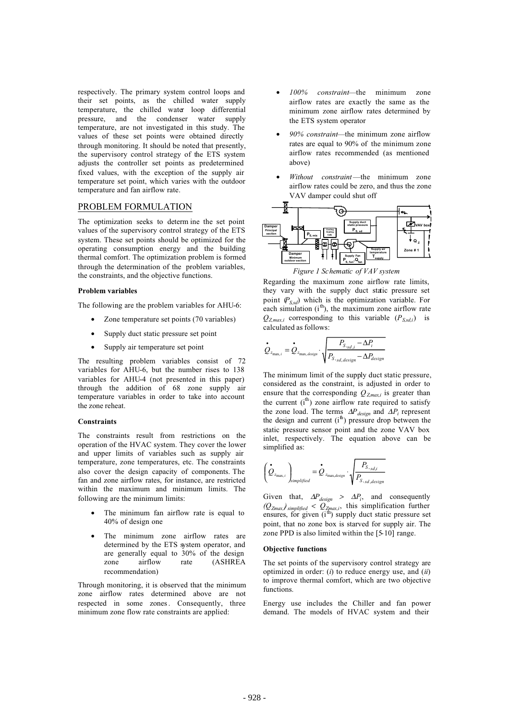respectively. The primary system control loops and their set points, as the chilled water supply temperature, the chilled water loop differential pressure, and the condenser water supply temperature, are not investigated in this study. The values of these set points were obtained directly through monitoring. It should be noted that presently, the supervisory control strategy of the ETS system adjusts the controller set points as predetermined fixed values, with the exception of the supply air temperature set point, which varies with the outdoor temperature and fan airflow rate.

## PROBLEM FORMULATION

The optimization seeks to determ ine the set point values of the supervisory control strategy of the ETS system. These set points should be optimized for the operating consumption energy and the building thermal comfort. The optimization problem is formed through the determination of the problem variables, the constraints, and the objective functions.

#### **Problem variables**

The following are the problem variables for AHU-6:

- Zone temperature set points (70 variables)
- Supply duct static pressure set point
- Supply air temperature set point

The resulting problem variables consist of 72 variables for AHU-6, but the number rises to 138 variables for AHU-4 (not presented in this paper) through the addition of 68 zone supply air temperature variables in order to take into account the zone reheat.

#### **Constraints**

The constraints result from restrictions on the operation of the HVAC system. They cover the lower and upper limits of variables such as supply air temperature, zone temperatures, etc. The constraints also cover the design capacity of components. The fan and zone airflow rates, for instance, are restricted within the maximum and minimum limits. The following are the minimum limits:

- The minimum fan airflow rate is equal to 40% of design one
- The minimum zone airflow rates are determined by the ETS system operator, and are generally equal to 30% of the design zone airflow rate (ASHREA recommendation)

Through monitoring, it is observed that the minimum zone airflow rates determined above are not respected in some zones. Consequently, three minimum zone flow rate constraints are applied:

- *100% constraint*—the minimum zone airflow rates are exactly the same as the minimum zone airflow rates determined by the ETS system operator
- *90% constraint*—the minimum zone airflow rates are equal to 90% of the minimum zone airflow rates recommended (as mentioned above)
- *Without constraint*—the minimum zone airflow rates could be zero, and thus the zone VAV damper could shut off



Regarding the maximum zone airflow rate limits, they vary with the supply duct static pressure set point  $(P_{S,d})$  which is the optimization variable. For each simulation  $(i<sup>th</sup>)$ , the maximum zone airflow rate  $Q_{Z,max,i}$  corresponding to this variable  $(P_{S,sd,i})$  is calculated as follows:

$$
\boldsymbol{\dot{Q}}_{z_{\text{max},i}} = \boldsymbol{\dot{Q}}_{z_{\text{max},\text{design}}}\cdot\sqrt{\frac{P_{S,\text{sd},i}-\Delta P_i}{P_{S,\text{sd},\text{design}}-\Delta P_{\text{design}}}}
$$

The minimum limit of the supply duct static pressure, considered as the constraint, is adjusted in order to ensure that the corresponding  $Q_{Zmax,i}$  is greater than the current  $(i<sup>th</sup>)$  zone airflow rate required to satisfy the zone load. The terms ∆*Pdesign* and ∆*Pi* represent the design and current  $(i<sup>th</sup>)$  pressure drop between the static pressure sensor point and the zone VAV box inlet, respectively. The equation above can be simplified as:

$$
\left(\stackrel{\bullet}{\mathcal{Q}}_{z_{\text{max},i}}\right)_{simplified}=\stackrel{\bullet}{\mathcal{Q}}_{z_{\text{max,design}}}\cdot\sqrt{\frac{P_{S,s,d,i}}{P_{S,s,d,design}}}
$$

Given that,  $\Delta P_{design} > \Delta P_i$ , and consequently  $(Q_{Zmax,i})$  simplified  $Q_{Zmax,i}$ , this simplification further ensures, for given  $(i<sup>th</sup>)$  supply duct static pressure set point, that no zone box is starved for supply air. The zone PPD is also limited within the [5-10] range.

#### **Objective functions**

The set points of the supervisory control strategy are optimized in order: (*i*) to reduce energy use, and (*ii*) to improve thermal comfort, which are two objective functions.

Energy use includes the Chiller and fan power demand. The models of HVAC system and their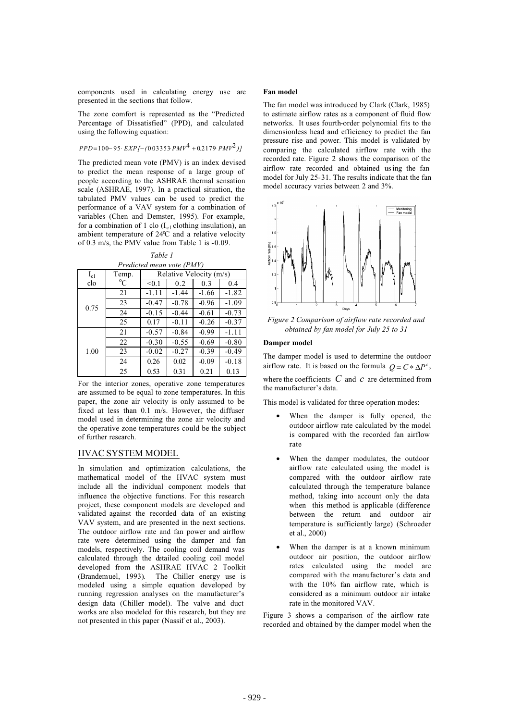components used in calculating energy use are presented in the sections that follow.

The zone comfort is represented as the "Predicted Percentage of Dissatisfied" (PPD), and calculated using the following equation:

$$
PPD=100-95\cdot EXP[-(0.03353 P M V^4+0.2179 P M V^2)]
$$

The predicted mean vote (PMV) is an index devised to predict the mean response of a large group of people according to the ASHRAE thermal sensation scale (ASHRAE, 1997). In a practical situation, the tabulated PMV values can be used to predict the performance of a VAV system for a combination of variables (Chen and Demster, 1995). For example, for a combination of 1 clo  $(I<sub>c1</sub>$  clothing insulation), an ambient temperature of 24°C and a relative velocity of 0.3 m/s, the PMV value from Table 1 is -0.09.

*Table 1*

| Predicted mean vote (PMV) |       |                         |         |         |         |
|---------------------------|-------|-------------------------|---------|---------|---------|
| $I_{c1}$                  | Temp. | Relative Velocity (m/s) |         |         |         |
| clo                       | °C    | < 0.1                   | 0.2     | 0.3     | 0.4     |
| 0.75                      | 21    | $-1.11$                 | $-1.44$ | $-1.66$ | $-1.82$ |
|                           | 23    | $-0.47$                 | $-0.78$ | $-0.96$ | $-1.09$ |
|                           | 24    | $-0.15$                 | $-0.44$ | $-0.61$ | $-0.73$ |
|                           | 25    | 0.17                    | $-0.11$ | $-0.26$ | $-0.37$ |
| 1.00                      | 21    | $-0.57$                 | $-0.84$ | $-0.99$ | $-1.11$ |
|                           | 22    | $-0.30$                 | $-0.55$ | $-0.69$ | $-0.80$ |
|                           | 23    | $-0.02$                 | $-0.27$ | $-0.39$ | $-0.49$ |
|                           | 24    | 0.26                    | 0.02    | $-0.09$ | $-0.18$ |
|                           | 25    | 0.53                    | 0.31    | 0.21    | 0.13    |

For the interior zones, operative zone temperatures are assumed to be equal to zone temperatures. In this paper, the zone air velocity is only assumed to be fixed at less than 0.1 m/s. However, the diffuser model used in determining the zone air velocity and the operative zone temperatures could be the subject of further research.

## HVAC SYSTEM MODEL

In simulation and optimization calculations, the mathematical model of the HVAC system must include all the individual component models that influence the objective functions. For this research project, these component models are developed and validated against the recorded data of an existing VAV system, and are presented in the next sections. The outdoor airflow rate and fan power and airflow rate were determined using the damper and fan models, respectively. The cooling coil demand was calculated through the detailed cooling coil model developed from the ASHRAE HVAC 2 Toolkit (Brandemuel, 1993). The Chiller energy use is modeled using a simple equation developed by running regression analyses on the manufacturer's design data (Chiller model). The valve and duct works are also modeled for this research, but they are not presented in this paper (Nassif et al., 2003).

### **Fan model**

The fan model was introduced by Clark (Clark, 1985) to estimate airflow rates as a component of fluid flow networks. It uses fourth-order polynomial fits to the dimensionless head and efficiency to predict the fan pressure rise and power. This model is validated by comparing the calculated airflow rate with the recorded rate. Figure 2 shows the comparison of the airflow rate recorded and obtained us ing the fan model for July 25-31. The results indicate that the fan model accuracy varies between 2 and 3%.



*Figure 2 Comparison of airflow rate recorded and obtained by fan model for July 25 to 31* 

#### **Damper model**

The damper model is used to determine the outdoor airflow rate. It is based on the formula  $Q = C * \Delta P^c$ , where the coefficients *C* and *c* are determined from the manufacturer's data.

This model is validated for three operation modes:

- When the damper is fully opened, the outdoor airflow rate calculated by the model is compared with the recorded fan airflow rate
- When the damper modulates, the outdoor airflow rate calculated using the model is compared with the outdoor airflow rate calculated through the temperature balance method, taking into account only the data when this method is applicable (difference between the return and outdoor air temperature is sufficiently large) (Schroeder et al., 2000)
- When the damper is at a known minimum outdoor air position, the outdoor airflow rates calculated using the model are compared with the manufacturer's data and with the 10% fan airflow rate, which is considered as a minimum outdoor air intake rate in the monitored VAV.

Figure 3 shows a comparison of the airflow rate recorded and obtained by the damper model when the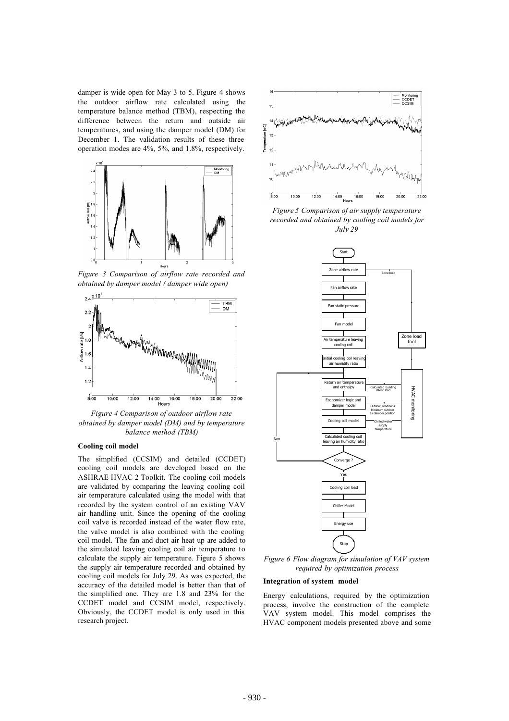damper is wide open for May 3 to 5. Figure 4 shows the outdoor airflow rate calculated using the temperature balance method (TBM), respecting the difference between the return and outside air temperatures, and using the damper model (DM) for December 1. The validation results of these three operation modes are 4%, 5%, and 1.8%, respectively.



*Figure 3 Comparison of airflow rate recorded and obtained by damper model ( damper wide open)*



*Figure 4 Comparison of outdoor airflow rate obtained by damper model (DM) and by temperature balance method (TBM)*

#### **Cooling coil model**

The simplified (CCSIM) and detailed (CCDET) cooling coil models are developed based on the ASHRAE HVAC 2 Toolkit. The cooling coil models are validated by comparing the leaving cooling coil air temperature calculated using the model with that recorded by the system control of an existing VAV air handling unit. Since the opening of the cooling coil valve is recorded instead of the water flow rate, the valve model is also combined with the cooling coil model. The fan and duct air heat up are added to the simulated leaving cooling coil air temperature to calculate the supply air temperature. Figure 5 shows the supply air temperature recorded and obtained by cooling coil models for July 29. As was expected, the accuracy of the detailed model is better than that of the simplified one. They are 1.8 and 23% for the CCDET model and CCSIM model, respectively. Obviously, the CCDET model is only used in this research project.



*Figure 5 Comparison of air supply temperature recorded and obtained by cooling coil models for July 29* 



*Figure 6 Flow diagram for simulation of VAV system required by optimization process*

#### **Integration of system model**

Energy calculations, required by the optimization process, involve the construction of the complete VAV system model. This model comprises the HVAC component models presented above and some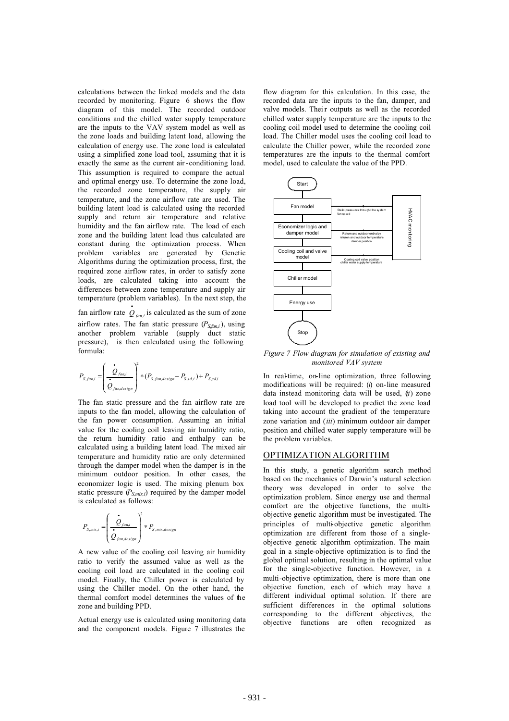calculations between the linked models and the data recorded by monitoring. Figure 6 shows the flow diagram of this model. The recorded outdoor conditions and the chilled water supply temperature are the inputs to the VAV system model as well as the zone loads and building latent load, allowing the calculation of energy use. The zone load is calculated using a simplified zone load tool, assuming that it is exactly the same as the current air -conditioning load. This assumption is required to compare the actual and optimal energy use. To determine the zone load, the recorded zone temperature, the supply air temperature, and the zone airflow rate are used. The building latent load is calculated using the recorded supply and return air temperature and relative humidity and the fan airflow rate. The load of each zone and the building latent load thus calculated are constant during the optimization process. When problem variables are generated by Genetic Algorithms during the optimization process, first, the required zone airflow rates, in order to satisfy zone loads, are calculated taking into account the differences between zone temperature and supply air temperature (problem variables). In the next step, the

fan airflow rate  $\dot{Q}_{\text{fan},i}$  is calculated as the sum of zone airflow rates. The fan static pressure  $(P_{S, fan, i})$ , using another problem variable (supply duct static pressure), is then calculated using the following formula:

$$
P_{S, fan,i} = \left(\frac{\overset{\bullet}{\mathcal{Q}}_{fan,i}}{\overset{\bullet}{\mathcal{Q}}_{fan, design}}\right)^{2} * (P_{S, fan, design} - P_{S, sd,i}) + P_{S, sd,i}
$$

The fan static pressure and the fan airflow rate are inputs to the fan model, allowing the calculation of the fan power consumption. Assuming an initial value for the cooling coil leaving air humidity ratio, the return humidity ratio and enthalpy can be calculated using a building latent load. The mixed air temperature and humidity ratio are only determined through the damper model when the damper is in the minimum outdoor position. In other cases, the economizer logic is used. The mixing plenum box static pressure  $(P_{S,mix,i})$  required by the damper model is calculated as follows:

$$
P_{S,mix,i} = \left(\frac{\stackrel{\bullet}{\mathcal{Q}}_{fan,i}}{\stackrel{\bullet}{\mathcal{Q}}_{fan, design}}\right)^2 * P_{S,mix, design}
$$

A new value of the cooling coil leaving air humidity ratio to verify the assumed value as well as the cooling coil load are calculated in the cooling coil model. Finally, the Chiller power is calculated by using the Chiller model. On the other hand, the thermal comfort model determines the values of the zone and building PPD.

Actual energy use is calculated using monitoring data and the component models. Figure 7 illustrates the

flow diagram for this calculation. In this case, the recorded data are the inputs to the fan, damper, and valve models. Their outputs as well as the recorded chilled water supply temperature are the inputs to the cooling coil model used to determine the cooling coil load. The Chiller model uses the cooling coil load to calculate the Chiller power, while the recorded zone temperatures are the inputs to the thermal comfort model, used to calculate the value of the PPD.



*Figure 7 Flow diagram for simulation of existing and monitored VAV system* 

In real-time, on-line optimization, three following modifications will be required: (*i*) on-line measured data instead monitoring data will be used, (*ii*) zone load tool will be developed to predict the zone load taking into account the gradient of the temperature zone variation and (*iii*) minimum outdoor air damper position and chilled water supply temperature will be the problem variables.

### OPTIMIZATION ALGORITHM

In this study, a genetic algorithm search method based on the mechanics of Darwin's natural selection theory was developed in order to solve the optimization problem. Since energy use and thermal comfort are the objective functions, the multiobjective genetic algorithm must be investigated. The principles of multi-objective genetic algorithm optimization are different from those of a singleobjective genetic algorithm optimization. The main goal in a single-objective optimization is to find the global optimal solution, resulting in the optimal value for the single-objective function. However, in a multi-objective optimization, there is more than one objective function, each of which may have a different individual optimal solution. If there are sufficient differences in the optimal solutions corresponding to the different objectives, the objective functions are often recognized as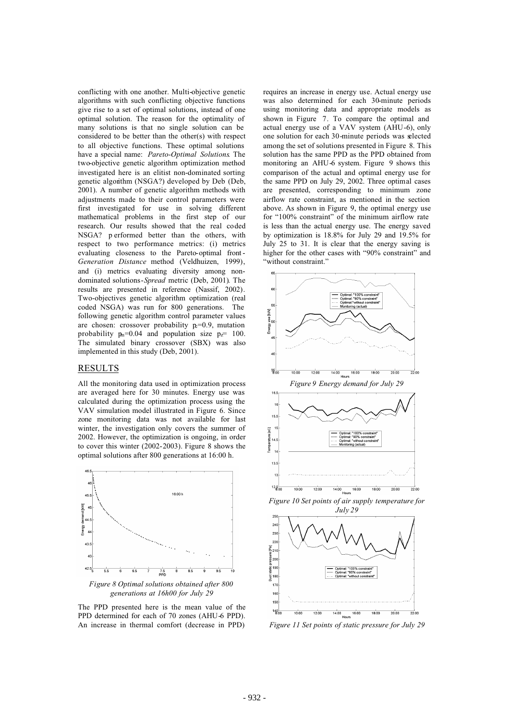conflicting with one another. Multi-objective genetic algorithms with such conflicting objective functions give rise to a set of optimal solutions, instead of one optimal solution. The reason for the optimality of many solutions is that no single solution can be considered to be better than the other(s) with respect to all objective functions. These optimal solutions have a special name: *Pareto-Optimal Solutions*. The two-objective genetic algorithm optimization method investigated here is an elitist non-dominated sorting genetic algorithm (NSGA?) developed by Deb (Deb, 2001). A number of genetic algorithm methods with adjustments made to their control parameters were first investigated for use in solving different mathematical problems in the first step of our research. Our results showed that the real coded NSGA? p erformed better than the others, with respect to two performance metrics: (i) metrics evaluating closeness to the Pareto-optimal front - *Generation Distance* method (Veldhuizen, 1999), and (i) metrics evaluating diversity among nondominated solutions-*Spread* metric (Deb, 2001). The results are presented in reference (Nassif, 2002). Two-objectives genetic algorithm optimization (real coded NSGA) was run for 800 generations. The following genetic algorithm control parameter values are chosen: crossover probability  $p=0.9$ , mutation probability  $p_n=0.04$  and population size  $p_{\overline{\ell}}=100$ . The simulated binary crossover (SBX) was also implemented in this study (Deb, 2001).

### RESULTS

All the monitoring data used in optimization process are averaged here for 30 minutes. Energy use was calculated during the optimization process using the VAV simulation model illustrated in Figure 6. Since zone monitoring data was not available for last winter, the investigation only covers the summer of 2002. However, the optimization is ongoing, in order to cover this winter (2002-2003). Figure 8 shows the optimal solutions after 800 generations at 16:00 h.



*Figure 8 Optimal solutions obtained after 800 generations at 16h00 for July 29*

The PPD presented here is the mean value of the PPD determined for each of 70 zones (AHU-6 PPD). An increase in thermal comfort (decrease in PPD)

requires an increase in energy use. Actual energy use was also determined for each 30-minute periods using monitoring data and appropriate models as shown in Figure 7. To compare the optimal and actual energy use of a VAV system (AHU-6), only one solution for each 30-minute periods was selected among the set of solutions presented in Figure 8. This solution has the same PPD as the PPD obtained from monitoring an AHU-6 system. Figure 9 shows this comparison of the actual and optimal energy use for the same PPD on July 29, 2002. Three optimal cases are presented, corresponding to minimum zone airflow rate constraint, as mentioned in the section above. As shown in Figure 9, the optimal energy use for "100% constraint" of the minimum airflow rate is less than the actual energy use. The energy saved by optimization is 18.8% for July 29 and 19.5% for July 25 to 31. It is clear that the energy saving is higher for the other cases with "90% constraint" and "without constraint."





*Figure 11 Set points of static pressure for July 29*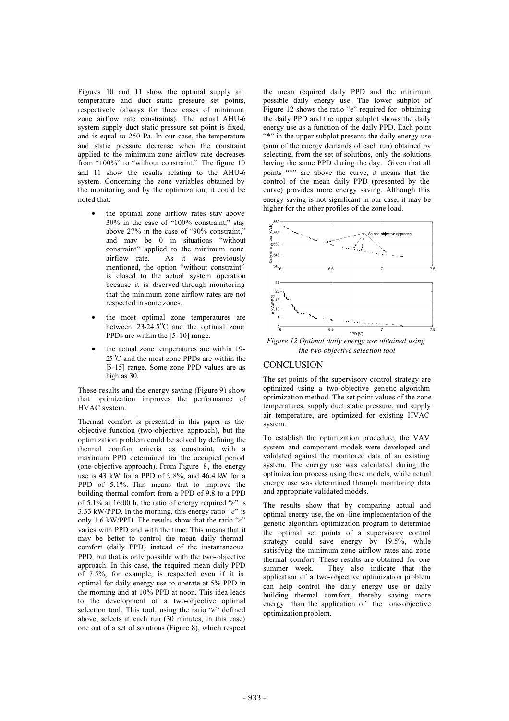Figures 10 and 11 show the optimal supply air temperature and duct static pressure set points, respectively (always for three cases of minimum zone airflow rate constraints). The actual AHU-6 system supply duct static pressure set point is fixed, and is equal to 250 Pa. In our case, the temperature and static pressure decrease when the constraint applied to the minimum zone airflow rate decreases from "100%" to "without constraint." The figure 10 and 11 show the results relating to the AHU-6 system. Concerning the zone variables obtained by the monitoring and by the optimization, it could be noted that:

- the optimal zone airflow rates stay above 30% in the case of "100% constraint," stay above  $27\%$  in the case of "90% constraint." and may be 0 in situations "without constraint" applied to the minimum zone airflow rate. As it was previously mentioned, the option "without constraint" is closed to the actual system operation because it is doserved through monitoring that the minimum zone airflow rates are not respected in some zones.
- the most optimal zone temperatures are between  $23-24.5^{\circ}$ C and the optimal zone PPDs are within the [5-10] range.
- the actual zone temperatures are within 19- 25<sup>°</sup>C and the most zone PPDs are within the [5-15] range. Some zone PPD values are as high as 30.

These results and the energy saving (Figure 9) show that optimization improves the performance of HVAC system.

Thermal comfort is presented in this paper as the objective function (two-objective approach), but the optimization problem could be solved by defining the thermal comfort criteria as constraint, with a maximum PPD determined for the occupied period (one-objective approach). From Figure 8, the energy use is 43 kW for a PPD of 9.8%, and 46.4 kW for a PPD of 5.1%. This means that to improve the building thermal comfort from a PPD of 9.8 to a PPD of 5.1% at 16:00 h, the ratio of energy required "*e*" is 3.33 kW/PPD. In the morning, this energy ratio "*e*" is only 1.6 kW/PPD. The results show that the ratio "*e*" varies with PPD and with the time. This means that it may be better to control the mean daily thermal comfort (daily PPD) instead of the instantaneous PPD, but that is only possible with the two-objective approach. In this case, the required mean daily PPD of 7.5%, for example, is respected even if it is optimal for daily energy use to operate at 5% PPD in the morning and at 10% PPD at noon. This idea leads to the development of a two-objective optimal selection tool. This tool, using the ratio "*e*" defined above, selects at each run (30 minutes, in this case) one out of a set of solutions (Figure 8), which respect the mean required daily PPD and the minimum possible daily energy use. The lower subplot of Figure 12 shows the ratio "e" required for obtaining the daily PPD and the upper subplot shows the daily energy use as a function of the daily PPD. Each point "\*" in the upper subplot presents the daily energy use (sum of the energy demands of each run) obtained by selecting, from the set of solutions, only the solutions having the same PPD during the day. Given that all points "\*" are above the curve, it means that the control of the mean daily PPD (presented by the curve) provides more energy saving. Although this energy saving is not significant in our case, it may be higher for the other profiles of the zone load.



*the two-objective selection tool*

### **CONCLUSION**

The set points of the supervisory control strategy are optimized using a two-objective genetic algorithm optimization method. The set point values of the zone temperatures, supply duct static pressure, and supply air temperature, are optimized for existing HVAC system.

To establish the optimization procedure, the VAV system and component models were developed and validated against the monitored data of an existing system. The energy use was calculated during the optimization process using these models, while actual energy use was determined through monitoring data and appropriate validated models.

The results show that by comparing actual and optimal energy use, the on -line implementation of the genetic algorithm optimization program to determine the optimal set points of a supervisory control strategy could save energy by 19.5%, while satisfying the minimum zone airflow rates and zone thermal comfort. These results are obtained for one<br>summer week. They also indicate that the They also indicate that the application of a two-objective optimization problem can help control the daily energy use or daily building thermal com fort, thereby saving more energy than the application of the one-objective optimization problem.